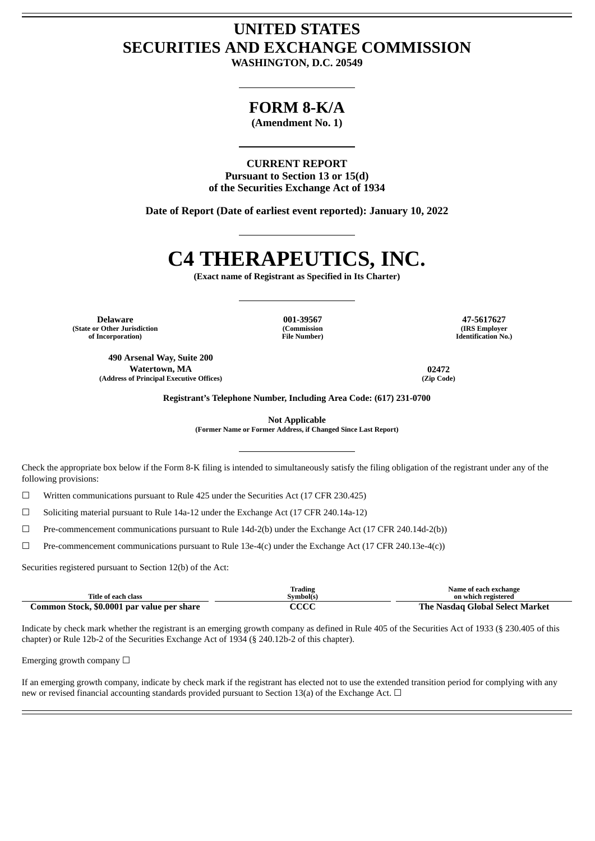## **UNITED STATES SECURITIES AND EXCHANGE COMMISSION**

**WASHINGTON, D.C. 20549**

### **FORM 8-K/A**

**(Amendment No. 1)**

**CURRENT REPORT Pursuant to Section 13 or 15(d) of the Securities Exchange Act of 1934**

**Date of Report (Date of earliest event reported): January 10, 2022**

# **C4 THERAPEUTICS, INC.**

**(Exact name of Registrant as Specified in Its Charter)**

**(State or Other Jurisdiction of Incorporation)**

> **490 Arsenal Way, Suite 200 Watertown, MA 02472 (Address of Principal Executive Offices) (Zip Code)**

**(Commission File Number)**

**Delaware 001-39567 47-5617627 (IRS Employer Identification No.)**

**Registrant's Telephone Number, Including Area Code: (617) 231-0700**

**Not Applicable**

**(Former Name or Former Address, if Changed Since Last Report)**

Check the appropriate box below if the Form 8-K filing is intended to simultaneously satisfy the filing obligation of the registrant under any of the following provisions:

☐ Written communications pursuant to Rule 425 under the Securities Act (17 CFR 230.425)

☐ Soliciting material pursuant to Rule 14a-12 under the Exchange Act (17 CFR 240.14a-12)

☐ Pre-commencement communications pursuant to Rule 14d-2(b) under the Exchange Act (17 CFR 240.14d-2(b))

 $\Box$  Pre-commencement communications pursuant to Rule 13e-4(c) under the Exchange Act (17 CFR 240.13e-4(c))

Securities registered pursuant to Section 12(b) of the Act:

| Title of each class                        | Trading<br>Symbol(s) | Name of each exchange<br>on which registered |
|--------------------------------------------|----------------------|----------------------------------------------|
| Common Stock, \$0.0001 par value per share | ecc                  | The Nasdag Global Select Market              |

Indicate by check mark whether the registrant is an emerging growth company as defined in Rule 405 of the Securities Act of 1933 (§ 230.405 of this chapter) or Rule 12b-2 of the Securities Exchange Act of 1934 (§ 240.12b-2 of this chapter).

Emerging growth company  $\Box$ 

If an emerging growth company, indicate by check mark if the registrant has elected not to use the extended transition period for complying with any new or revised financial accounting standards provided pursuant to Section 13(a) of the Exchange Act.  $\Box$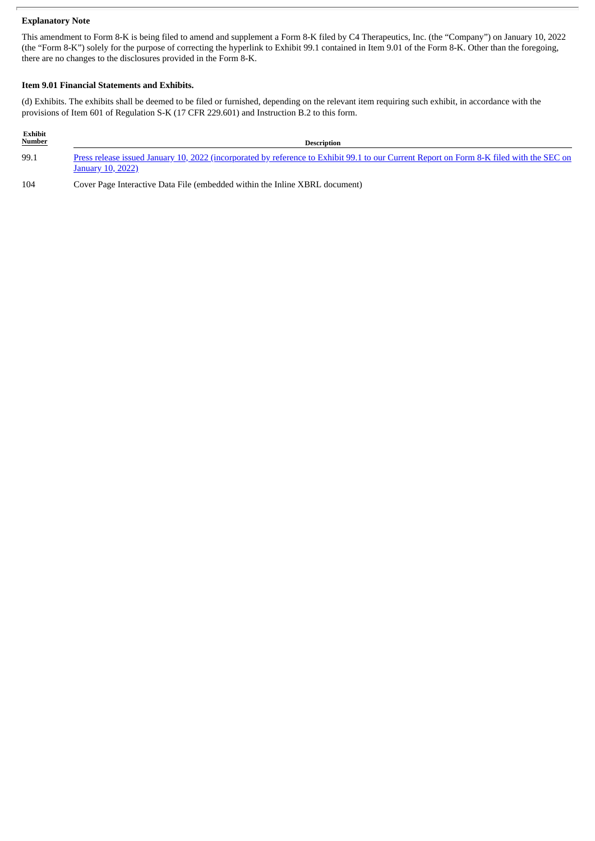#### **Explanatory Note**

This amendment to Form 8-K is being filed to amend and supplement a Form 8-K filed by C4 Therapeutics, Inc. (the "Company") on January 10, 2022 (the "Form 8-K") solely for the purpose of correcting the hyperlink to Exhibit 99.1 contained in Item 9.01 of the Form 8-K. Other than the foregoing, there are no changes to the disclosures provided in the Form 8-K.

#### **Item 9.01 Financial Statements and Exhibits.**

(d) Exhibits. The exhibits shall be deemed to be filed or furnished, depending on the relevant item requiring such exhibit, in accordance with the provisions of Item 601 of Regulation S-K (17 CFR 229.601) and Instruction B.2 to this form.

| Exhibit<br><b>Number</b> | <b>Description</b>                                                                                                                                                   |
|--------------------------|----------------------------------------------------------------------------------------------------------------------------------------------------------------------|
| 99.1                     | Press release issued January 10, 2022 (incorporated by reference to Exhibit 99.1 to our Current Report on Form 8-K filed with the SEC on<br><b>January 10, 2022)</b> |

104 Cover Page Interactive Data File (embedded within the Inline XBRL document)